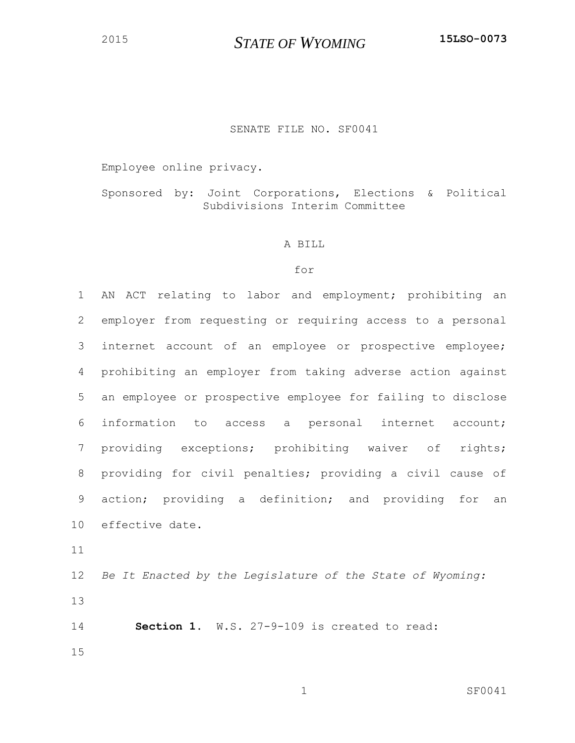## *STATE OF WYOMING* **15LSO-0073**

## SENATE FILE NO. SF0041

Employee online privacy.

Sponsored by: Joint Corporations, Elections & Political Subdivisions Interim Committee

## A BILL

## for

 AN ACT relating to labor and employment; prohibiting an employer from requesting or requiring access to a personal internet account of an employee or prospective employee; prohibiting an employer from taking adverse action against an employee or prospective employee for failing to disclose information to access a personal internet account; providing exceptions; prohibiting waiver of rights; providing for civil penalties; providing a civil cause of action; providing a definition; and providing for an effective date.

 *Be It Enacted by the Legislature of the State of Wyoming:* 

 **Section 1.** W.S. 27-9-109 is created to read: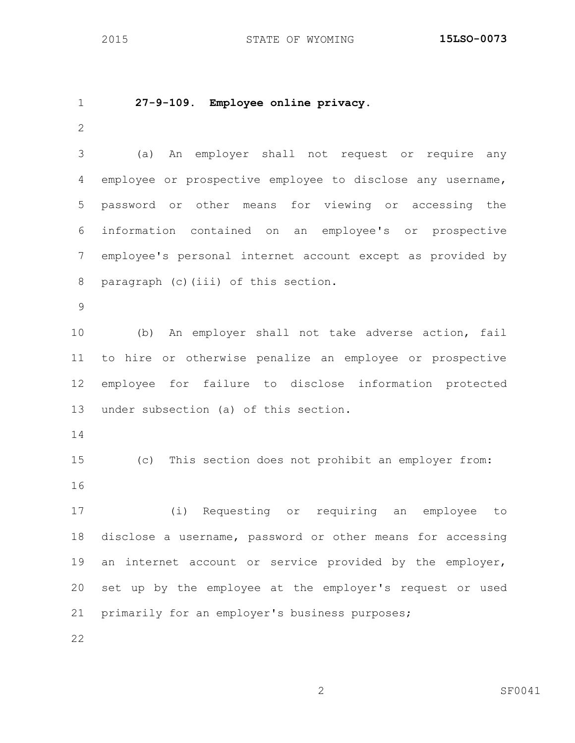**27-9-109. Employee online privacy.**  (a) An employer shall not request or require any employee or prospective employee to disclose any username, password or other means for viewing or accessing the information contained on an employee's or prospective employee's personal internet account except as provided by paragraph (c)(iii) of this section. (b) An employer shall not take adverse action, fail to hire or otherwise penalize an employee or prospective employee for failure to disclose information protected under subsection (a) of this section. (c) This section does not prohibit an employer from: (i) Requesting or requiring an employee to disclose a username, password or other means for accessing an internet account or service provided by the employer, set up by the employee at the employer's request or used

primarily for an employer's business purposes;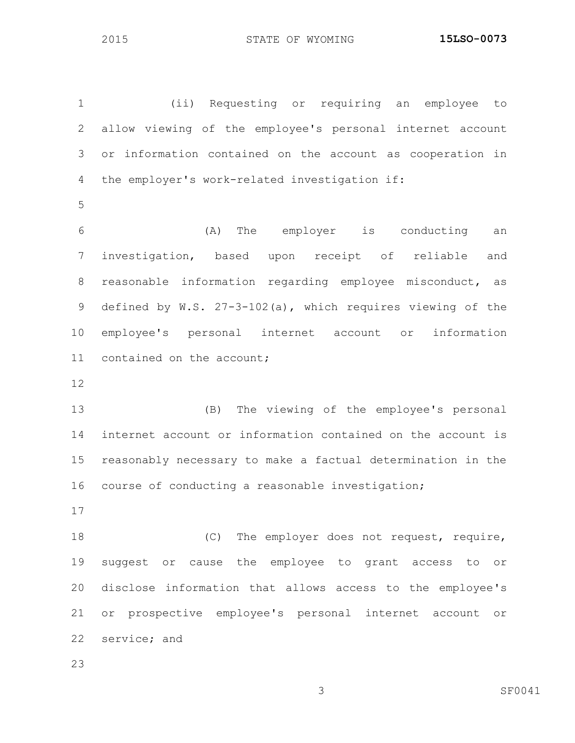(ii) Requesting or requiring an employee to allow viewing of the employee's personal internet account or information contained on the account as cooperation in the employer's work-related investigation if: (A) The employer is conducting an investigation, based upon receipt of reliable and reasonable information regarding employee misconduct, as defined by W.S. 27-3-102(a), which requires viewing of the

 employee's personal internet account or information contained on the account;

 (B) The viewing of the employee's personal internet account or information contained on the account is reasonably necessary to make a factual determination in the course of conducting a reasonable investigation;

18 (C) The employer does not request, require, suggest or cause the employee to grant access to or disclose information that allows access to the employee's or prospective employee's personal internet account or service; and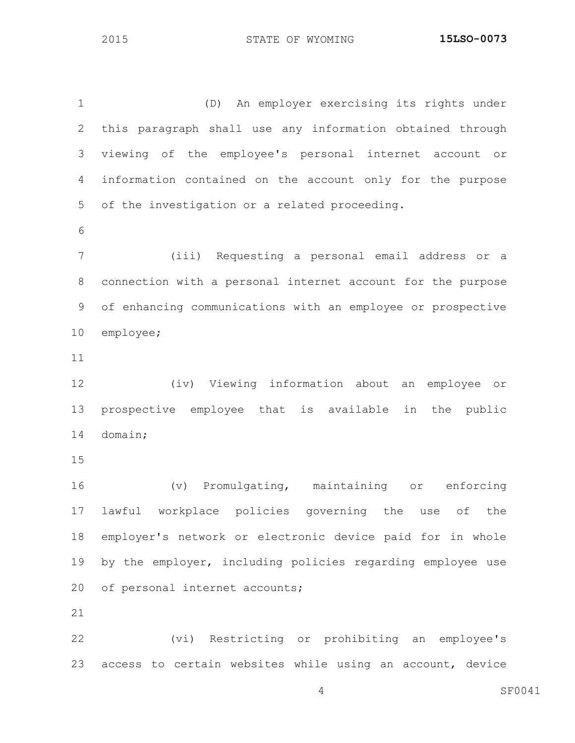(D) An employer exercising its rights under this paragraph shall use any information obtained through viewing of the employee's personal internet account or information contained on the account only for the purpose of the investigation or a related proceeding. (iii) Requesting a personal email address or a connection with a personal internet account for the purpose of enhancing communications with an employee or prospective employee; (iv) Viewing information about an employee or prospective employee that is available in the public domain; (v) Promulgating, maintaining or enforcing lawful workplace policies governing the use of the employer's network or electronic device paid for in whole by the employer, including policies regarding employee use 20 of personal internet accounts; 

 (vi) Restricting or prohibiting an employee's access to certain websites while using an account, device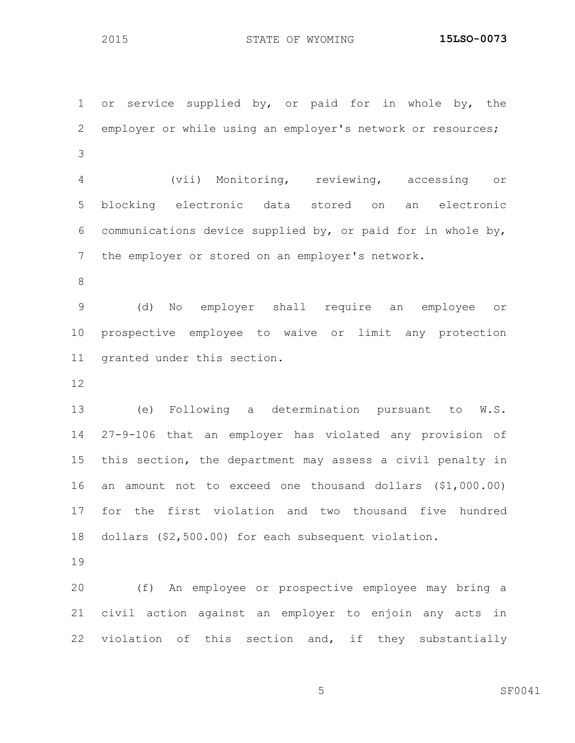STATE OF WYOMING **15LSO-0073**

 or service supplied by, or paid for in whole by, the employer or while using an employer's network or resources; 

 (vii) Monitoring, reviewing, accessing or blocking electronic data stored on an electronic communications device supplied by, or paid for in whole by, the employer or stored on an employer's network.

 (d) No employer shall require an employee or prospective employee to waive or limit any protection granted under this section.

 (e) Following a determination pursuant to W.S. 27-9-106 that an employer has violated any provision of this section, the department may assess a civil penalty in an amount not to exceed one thousand dollars (\$1,000.00) for the first violation and two thousand five hundred dollars (\$2,500.00) for each subsequent violation.

 (f) An employee or prospective employee may bring a civil action against an employer to enjoin any acts in violation of this section and, if they substantially

SF0041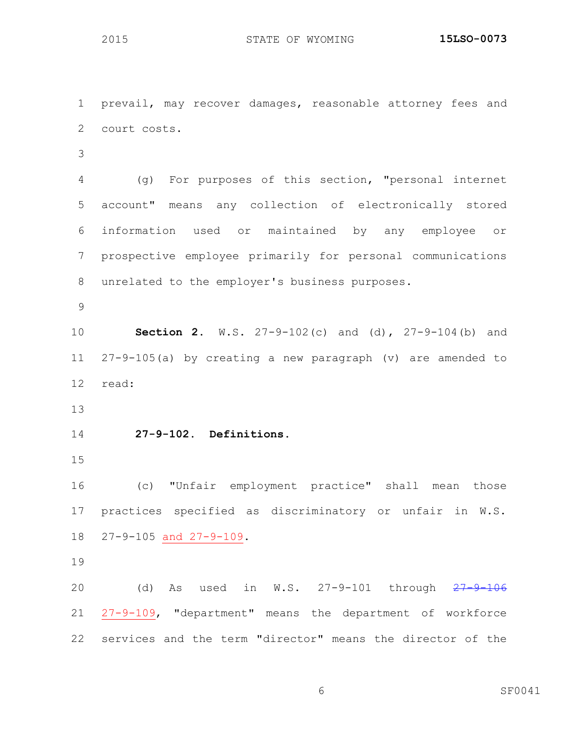prevail, may recover damages, reasonable attorney fees and court costs. (g) For purposes of this section, "personal internet account" means any collection of electronically stored information used or maintained by any employee or prospective employee primarily for personal communications unrelated to the employer's business purposes. **Section 2.** W.S. 27-9-102(c) and (d), 27-9-104(b) and 27-9-105(a) by creating a new paragraph (v) are amended to read: **27-9-102. Definitions.** (c) "Unfair employment practice" shall mean those practices specified as discriminatory or unfair in W.S. 27-9-105 and 27-9-109. 20 (d) As used in W.S. 27-9-101 through  $27-9-106$  27-9-109, "department" means the department of workforce services and the term "director" means the director of the